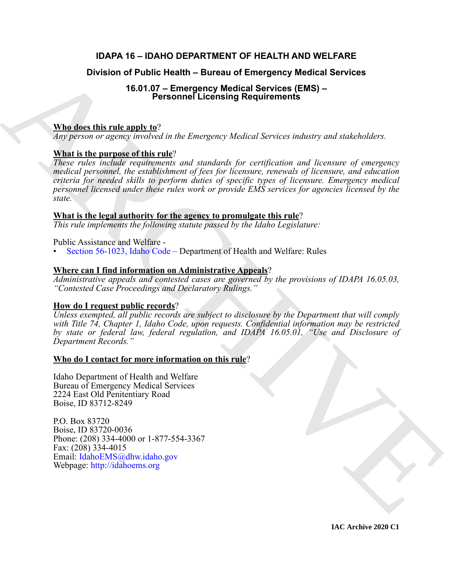# **IDAPA 16 – IDAHO DEPARTMENT OF HEALTH AND WELFARE**

### **Division of Public Health – Bureau of Emergency Medical Services**

# **16.01.07 – Emergency Medical Services (EMS) – Personnel Licensing Requirements**

#### **Who does this rule apply to**?

*Any person or agency involved in the Emergency Medical Services industry and stakeholders.*

#### **What is the purpose of this rule**?

Division of Public Health – Bureau of Emergency Medical Services<br>
16.01.07 – Emergency Medical Services (EMS) –<br>
Mhs.does.this rule angly to<br>  $\frac{1}{2}$ <br>
Whs.does.this rule angly to<br>  $\frac{1}{2}$ <br>  $\frac{1}{2}$ <br>  $\frac{1}{2}$ <br>  $\frac{1}{$ *These rules include requirements and standards for certification and licensure of emergency medical personnel, the establishment of fees for licensure, renewals of licensure, and education criteria for needed skills to perform duties of specific types of licensure. Emergency medical personnel licensed under these rules work or provide EMS services for agencies licensed by the state.*

#### **What is the legal authority for the agency to promulgate this rule**?

*This rule implements the following statute passed by the Idaho Legislature:*

Public Assistance and Welfare -

• Section 56-1023, Idaho Code – Department of Health and Welfare: Rules

#### **Where can I find information on Administrative Appeals**?

*Administrative appeals and contested cases are governed by the provisions of IDAPA 16.05.03, "Contested Case Proceedings and Declaratory Rulings."*

#### **How do I request public records**?

*Unless exempted, all public records are subject to disclosure by the Department that will comply with Title 74, Chapter 1, Idaho Code, upon requests. Confidential information may be restricted by state or federal law, federal regulation, and IDAPA 16.05.01, "Use and Disclosure of Department Records."*

#### **Who do I contact for more information on this rule**?

Idaho Department of Health and Welfare Bureau of Emergency Medical Services 2224 East Old Penitentiary Road Boise, ID 83712-8249

P.O. Box 83720 Boise, ID 83720-0036 Phone: (208) 334-4000 or 1-877-554-3367 Fax: (208) 334-4015 Email: IdahoEMS@dhw.idaho.gov Webpage: http://idahoems.org

**IAC Archive 2020 C1**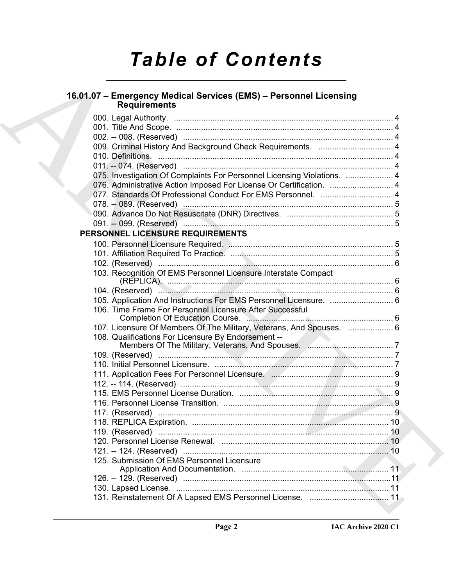# *Table of Contents*

# **16.01.07 – Emergency Medical Services (EMS) – Personnel Licensing Requirements** 000. Legal Authority. ................................................................................................. 4 001. Title And Scope. ................................................................................................ 4 002. -- 008. (Reserved) ............................................................................................. 4 009. Criminal History And Background Check Requirements. ................................. 4 010. Definitions. ........................................................................................................ 4 011. -- 074. (Reserved) ............................................................................................. 4 075. Investigation Of Complaints For Personnel Licensing Violations. ..................... 4 076. Administrative Action Imposed For License Or Certification. ............................ 4 077. Standards Of Professional Conduct For EMS Personnel. ................................ 4 078. -- 089. (Reserved) ............................................................................................. 5 090. Advance Do Not Resuscitate (DNR) Directives. ............................................... 5 091. -- 099. (Reserved) ............................................................................................. 5 **PERSONNEL LICENSURE REQUIREMENTS** 103. Recognition Of EMS Personnel Licensure Interstate Compact

| 16.01.07 - Emergency Medical Services (EMS) - Personnel Licensing<br><b>Requirements</b>    |  |
|---------------------------------------------------------------------------------------------|--|
|                                                                                             |  |
|                                                                                             |  |
|                                                                                             |  |
|                                                                                             |  |
|                                                                                             |  |
|                                                                                             |  |
| 075. Investigation Of Complaints For Personnel Licensing Violations.  4                     |  |
| 076. Administrative Action Imposed For License Or Certification.  4                         |  |
| 077. Standards Of Professional Conduct For EMS Personnel.  4                                |  |
|                                                                                             |  |
|                                                                                             |  |
|                                                                                             |  |
| PERSONNEL LICENSURE REQUIREMENTS                                                            |  |
|                                                                                             |  |
|                                                                                             |  |
|                                                                                             |  |
| 103. Recognition Of EMS Personnel Licensure Interstate Compact                              |  |
|                                                                                             |  |
|                                                                                             |  |
| 105. Application And Instructions For EMS Personnel Licensure.  6                           |  |
| 106. Time Frame For Personnel Licensure After Successful<br>Completion Of Education Course. |  |
| 107. Licensure Of Members Of The Military, Veterans, And Spouses.  6                        |  |
| 108. Qualifications For Licensure By Endorsement --                                         |  |
|                                                                                             |  |
|                                                                                             |  |
|                                                                                             |  |
|                                                                                             |  |
|                                                                                             |  |
|                                                                                             |  |
|                                                                                             |  |
|                                                                                             |  |
|                                                                                             |  |
|                                                                                             |  |
|                                                                                             |  |
|                                                                                             |  |
| 125. Submission Of EMS Personnel Licensure                                                  |  |
|                                                                                             |  |
|                                                                                             |  |
|                                                                                             |  |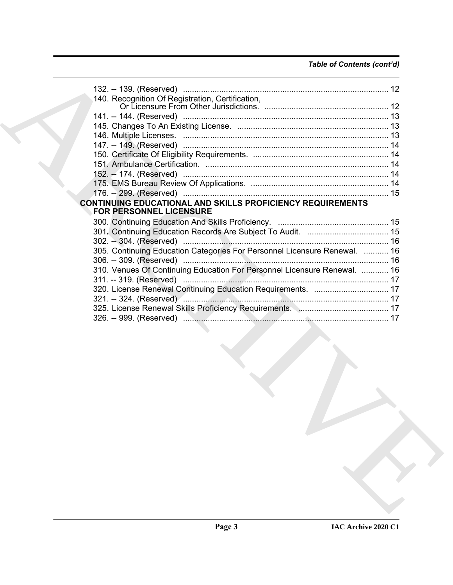## *Table of Contents (cont'd)*

| 140. Recognition Of Registration, Certification,                                                    |  |
|-----------------------------------------------------------------------------------------------------|--|
|                                                                                                     |  |
|                                                                                                     |  |
|                                                                                                     |  |
|                                                                                                     |  |
|                                                                                                     |  |
|                                                                                                     |  |
|                                                                                                     |  |
|                                                                                                     |  |
|                                                                                                     |  |
|                                                                                                     |  |
| <b>CONTINUING EDUCATIONAL AND SKILLS PROFICIENCY REQUIREMENTS</b><br><b>FOR PERSONNEL LICENSURE</b> |  |
|                                                                                                     |  |
|                                                                                                     |  |
|                                                                                                     |  |
| 305. Continuing Education Categories For Personnel Licensure Renewal.  16                           |  |
|                                                                                                     |  |
| 310. Venues Of Continuing Education For Personnel Licensure Renewal.  16                            |  |
|                                                                                                     |  |
| 320. License Renewal Continuing Education Requirements.  17                                         |  |
|                                                                                                     |  |
|                                                                                                     |  |
|                                                                                                     |  |
|                                                                                                     |  |
|                                                                                                     |  |
|                                                                                                     |  |
|                                                                                                     |  |
|                                                                                                     |  |
|                                                                                                     |  |
|                                                                                                     |  |
|                                                                                                     |  |
|                                                                                                     |  |
|                                                                                                     |  |
|                                                                                                     |  |
|                                                                                                     |  |
|                                                                                                     |  |
|                                                                                                     |  |
|                                                                                                     |  |
|                                                                                                     |  |
|                                                                                                     |  |
|                                                                                                     |  |
|                                                                                                     |  |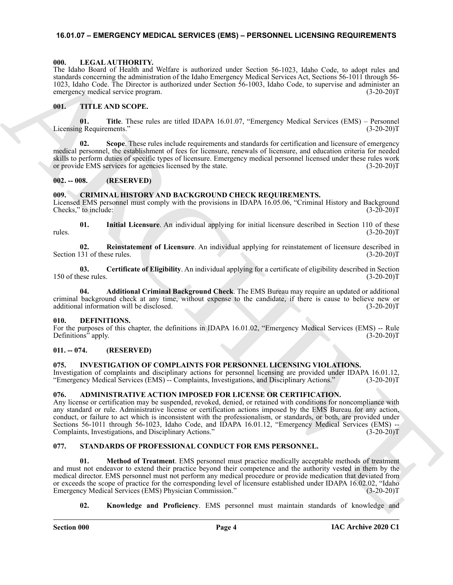#### <span id="page-3-0"></span>**16.01.07 – EMERGENCY MEDICAL SERVICES (EMS) – PERSONNEL LICENSING REQUIREMENTS**

#### <span id="page-3-14"></span><span id="page-3-1"></span>**000. LEGAL AUTHORITY.**

The Idaho Board of Health and Welfare is authorized under Section 56-1023, Idaho Code, to adopt rules and standards concerning the administration of the Idaho Emergency Medical Services Act, Sections 56-1011 through 56- 1023, Idaho Code. The Director is authorized under Section 56-1003, Idaho Code, to supervise and administer an emergency medical service program. (3-20-20)T

#### <span id="page-3-18"></span><span id="page-3-2"></span>**001. TITLE AND SCOPE.**

**01.** Title. These rules are titled IDAPA 16.01.07, "Emergency Medical Services (EMS) – Personnel g Requirements." (3-20-20) Licensing Requirements."

**02.** Scope. These rules include requirements and standards for certification and licensure of emergency medical personnel, the establishment of fees for licensure, renewals of licensure, and education criteria for needed skills to perform duties of specific types of licensure. Emergency medical personnel licensed under these rules work or provide EMS services for agencies licensed by the state. (3-20-20)T

#### <span id="page-3-3"></span>**002. -- 008. (RESERVED)**

#### <span id="page-3-11"></span><span id="page-3-4"></span>**009. CRIMINAL HISTORY AND BACKGROUND CHECK REQUIREMENTS.**

Licensed EMS personnel must comply with the provisions in IDAPA 16.05.06, "Criminal History and Background Checks," to include: (3-20-20)T (3-20-20)T

**01. Initial Licensure**. An individual applying for initial licensure described in Section 110 of these  $r_{\text{rules}}$ . (3-20-20)T

**02. Reinstatement of Licensure**. An individual applying for reinstatement of licensure described in Section 131 of these rules. (3-20-20)T

**03. Certificate of Eligibility**. An individual applying for a certificate of eligibility described in Section 150 of these rules. (3-20-20)T

**04. Additional Criminal Background Check**. The EMS Bureau may require an updated or additional criminal background check at any time, without expense to the candidate, if there is cause to believe new or additional information will be disclosed. (3-20-20)T

#### <span id="page-3-12"></span><span id="page-3-5"></span>**010. DEFINITIONS.**

For the purposes of this chapter, the definitions in IDAPA 16.01.02, "Emergency Medical Services (EMS) -- Rule Definitions" apply. (3-20-20)T

#### <span id="page-3-6"></span>**011. -- 074. (RESERVED)**

#### <span id="page-3-13"></span><span id="page-3-7"></span>**075. INVESTIGATION OF COMPLAINTS FOR PERSONNEL LICENSING VIOLATIONS.**

Investigation of complaints and disciplinary actions for personnel licensing are provided under IDAPA 16.01.12, "Emergency Medical Services (EMS) -- Complaints, Investigations, and Disciplinary Actions." (3-20-20)T

#### <span id="page-3-10"></span><span id="page-3-8"></span>**076. ADMINISTRATIVE ACTION IMPOSED FOR LICENSE OR CERTIFICATION.**

Any license or certification may be suspended, revoked, denied, or retained with conditions for noncompliance with any standard or rule. Administrative license or certification actions imposed by the EMS Bureau for any action, conduct, or failure to act which is inconsistent with the professionalism, or standards, or both, are provided under Sections 56-1011 through 56-1023, Idaho Code, and IDAPA 16.01.12, "Emergency Medical Services (EMS) --Complaints, Investigations, and Disciplinary Actions." (3-20-20)T

#### <span id="page-3-17"></span><span id="page-3-15"></span><span id="page-3-9"></span>**077. STANDARDS OF PROFESSIONAL CONDUCT FOR EMS PERSONNEL.**

The both sheal of the<br>the both sheal of the phase methods of the State Section 2013. Holey Columb control is a<br>significant of the phase methods and proposition of the state of the state of the<br>section 2013. Hole columb st **01. Method of Treatment**. EMS personnel must practice medically acceptable methods of treatment and must not endeavor to extend their practice beyond their competence and the authority vested in them by the medical director. EMS personnel must not perform any medical procedure or provide medication that deviated from or exceeds the scope of practice for the corresponding level of licensure established under IDAPA 16.02.02, "Idaho Emergency Medical Services (EMS) Physician Commission." (3-20-20)T

<span id="page-3-16"></span>**02. Knowledge and Proficiency**. EMS personnel must maintain standards of knowledge and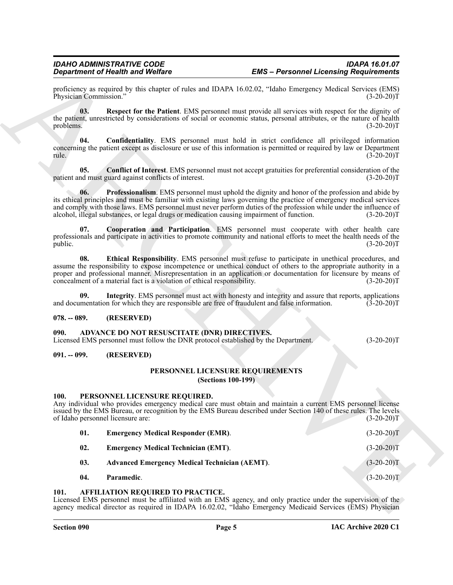#### <span id="page-4-19"></span><span id="page-4-18"></span><span id="page-4-17"></span><span id="page-4-16"></span><span id="page-4-0"></span>**078. -- 089. (RESERVED)**

#### <span id="page-4-6"></span><span id="page-4-1"></span>**090. ADVANCE DO NOT RESUSCITATE (DNR) DIRECTIVES.**

#### <span id="page-4-3"></span><span id="page-4-2"></span>**091. -- 099. (RESERVED)**

#### <span id="page-4-13"></span>**PERSONNEL LICENSURE REQUIREMENTS (Sections 100-199)**

#### <span id="page-4-11"></span><span id="page-4-10"></span><span id="page-4-8"></span><span id="page-4-4"></span>**100. PERSONNEL LICENSURE REQUIRED.**

<span id="page-4-20"></span><span id="page-4-15"></span><span id="page-4-14"></span>

| Physician Commission."                           |                                                                                                                                    | proficiency as required by this chapter of rules and IDAPA 16.02.02, "Idaho Emergency Medical Services (EMS)                                                                                                                                                                                                                                 | $(3-20-20)T$ |
|--------------------------------------------------|------------------------------------------------------------------------------------------------------------------------------------|----------------------------------------------------------------------------------------------------------------------------------------------------------------------------------------------------------------------------------------------------------------------------------------------------------------------------------------------|--------------|
| 03.<br>problems.                                 |                                                                                                                                    | Respect for the Patient. EMS personnel must provide all services with respect for the dignity of<br>the patient, unrestricted by considerations of social or economic status, personal attributes, or the nature of health                                                                                                                   | $(3-20-20)T$ |
| 04.<br>rule.                                     |                                                                                                                                    | Confidentiality. EMS personnel must hold in strict confidence all privileged information<br>concerning the patient except as disclosure or use of this information is permitted or required by law or Department                                                                                                                             | $(3-20-20)T$ |
| 05.                                              | patient and must guard against conflicts of interest.                                                                              | <b>Conflict of Interest</b> . EMS personnel must not accept gratuities for preferential consideration of the                                                                                                                                                                                                                                 | $(3-20-20)T$ |
| 06.                                              | alcohol, illegal substances, or legal drugs or medication causing impairment of function.                                          | Professionalism. EMS personnel must uphold the dignity and honor of the profession and abide by<br>its ethical principles and must be familiar with existing laws governing the practice of emergency medical services<br>and comply with those laws. EMS personnel must never perform duties of the profession while under the influence of | $(3-20-20)T$ |
| 07.<br>public.                                   |                                                                                                                                    | Cooperation and Participation. EMS personnel must cooperate with other health care<br>professionals and participate in activities to promote community and national efforts to meet the health needs of the                                                                                                                                  | $(3-20-20)T$ |
| 08.                                              | concealment of a material fact is a violation of ethical responsibility.                                                           | Ethical Responsibility. EMS personnel must refuse to participate in unethical procedures, and<br>assume the responsibility to expose incompetence or unethical conduct of others to the appropriate authority in a<br>proper and professional manner. Misrepresentation in an application or documentation for licensure by means of         | $(3-20-20)T$ |
| 09.                                              |                                                                                                                                    | Integrity. EMS personnel must act with honesty and integrity and assure that reports, applications<br>and documentation for which they are responsible are free of fraudulent and false information.                                                                                                                                         | $(3-20-20)T$ |
| $078. - 089.$                                    | (RESERVED)                                                                                                                         |                                                                                                                                                                                                                                                                                                                                              |              |
| 090.                                             | ADVANCE DO NOT RESUSCITATE (DNR) DIRECTIVES.<br>Licensed EMS personnel must follow the DNR protocol established by the Department. |                                                                                                                                                                                                                                                                                                                                              | $(3-20-20)T$ |
| $091. - 099.$                                    | (RESERVED)                                                                                                                         |                                                                                                                                                                                                                                                                                                                                              |              |
|                                                  |                                                                                                                                    | PERSONNEL LICENSURE REQUIREMENTS<br><b>(Sections 100-199)</b>                                                                                                                                                                                                                                                                                |              |
| <b>100.</b><br>of Idaho personnel licensure are: | PERSONNEL LICENSURE REQUIRED.                                                                                                      | Any individual who provides emergency medical care must obtain and maintain a current EMS personnel license<br>issued by the EMS Bureau, or recognition by the EMS Bureau described under Section 140 of these rules. The levels                                                                                                             | $(3-20-20)T$ |
| 01.                                              | <b>Emergency Medical Responder (EMR).</b>                                                                                          |                                                                                                                                                                                                                                                                                                                                              | $(3-20-20)T$ |
| 02.                                              | <b>Emergency Medical Technician (EMT).</b>                                                                                         |                                                                                                                                                                                                                                                                                                                                              | $(3-20-20)T$ |
| 03.                                              | <b>Advanced Emergency Medical Technician (AEMT).</b>                                                                               |                                                                                                                                                                                                                                                                                                                                              | $(3-20-20)T$ |
|                                                  |                                                                                                                                    |                                                                                                                                                                                                                                                                                                                                              | $(3-20-20)T$ |

#### <span id="page-4-12"></span><span id="page-4-9"></span><span id="page-4-7"></span><span id="page-4-5"></span>**101. AFFILIATION REQUIRED TO PRACTICE.**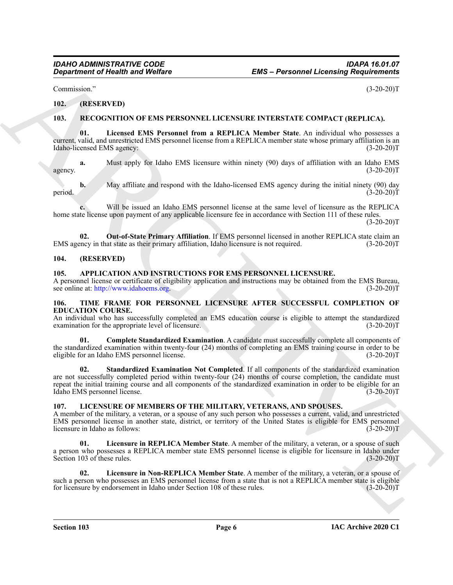Commission." (3-20-20)T

#### <span id="page-5-0"></span>**102. (RESERVED)**

#### <span id="page-5-11"></span><span id="page-5-10"></span><span id="page-5-1"></span>**103. RECOGNITION OF EMS PERSONNEL LICENSURE INTERSTATE COMPACT (REPLICA).**

**01. Licensed EMS Personnel from a REPLICA Member State**. An individual who possesses a current, valid, and unrestricted EMS personnel license from a REPLICA member state whose primary affiliation is an Idaho-licensed EMS agency: (3-20-20)T

**a.** Must apply for Idaho EMS licensure within ninety (90) days of affiliation with an Idaho EMS agency.  $(3-20-20)T$ 

**b.** May affiliate and respond with the Idaho-licensed EMS agency during the initial ninety (90) day period.  $(3-20-20)$ T

**c.** Will be issued an Idaho EMS personnel license at the same level of licensure as the REPLICA home state license upon payment of any applicable licensure fee in accordance with Section 111 of these rules.

 $(3-20-20)T$ 

<span id="page-5-12"></span>**02.** Out-of-State Primary Affiliation. If EMS personnel licensed in another REPLICA state claim an ency in that state as their primary affiliation, Idaho licensure is not required. (3-20-20)<sup>T</sup> EMS agency in that state as their primary affiliation, Idaho licensure is not required.

#### <span id="page-5-2"></span>**104. (RESERVED)**

#### <span id="page-5-6"></span><span id="page-5-3"></span>**105. APPLICATION AND INSTRUCTIONS FOR EMS PERSONNEL LICENSURE.**

A personnel license or certificate of eligibility application and instructions may be obtained from the EMS Bureau, see online at: http://www.idahoems.org. (3-20-20)T see online at: http://www.idahoems.org.

#### <span id="page-5-13"></span><span id="page-5-4"></span>**106. TIME FRAME FOR PERSONNEL LICENSURE AFTER SUCCESSFUL COMPLETION OF EDUCATION COURSE.**

An individual who has successfully completed an EMS education course is eligible to attempt the standardized examination for the appropriate level of licensure. (3-20-20)T

<span id="page-5-15"></span><span id="page-5-14"></span>**01. Complete Standardized Examination**. A candidate must successfully complete all components of the standardized examination within twenty-four (24) months of completing an EMS training course in order to be<br>eligible for an Idaho EMS personnel license. (3-20-20) eligible for an Idaho EMS personnel license.

*Gregarinness of Newthy Wolfare*<br> [C](http://www.idahoems.org)ounteraint of Newthern Control (1.5-20-20)<br>
110. (1878 KVTB)<br>
110. (1878 KVTB)<br>
110. (1878 KVTB)<br>
110. (1878 KWTB)<br>
110. (1878 KWTB)<br>
110. (1878 KWTB)<br>
120. (1870 Wolff and EDM S Prese **02. Standardized Examination Not Completed**. If all components of the standardized examination are not successfully completed period within twenty-four (24) months of course completion, the candidate must repeat the initial training course and all components of the standardized examination in order to be eligible for an Idaho EMS personnel license. (3-20-20)T

#### <span id="page-5-7"></span><span id="page-5-5"></span>**107. LICENSURE OF MEMBERS OF THE MILITARY, VETERANS, AND SPOUSES.**

A member of the military, a veteran, or a spouse of any such person who possesses a current, valid, and unrestricted EMS personnel license in another state, district, or territory of the United States is eligible for EMS personnel licensure in Idaho as follows: (3-20-20)T

<span id="page-5-9"></span>**01. Licensure in REPLICA Member State**. A member of the military, a veteran, or a spouse of such a person who possesses a REPLICA member state EMS personnel license is eligible for licensure in Idaho under Section 103 of these rules. (3-20-20)T

<span id="page-5-8"></span>**02. Licensure in Non-REPLICA Member State**. A member of the military, a veteran, or a spouse of such a person who possesses an EMS personnel license from a state that is not a REPLICA member state is eligible<br>for licensure by endorsement in Idaho under Section 108 of these rules. (3-20-20) for licensure by endorsement in Idaho under Section 108 of these rules.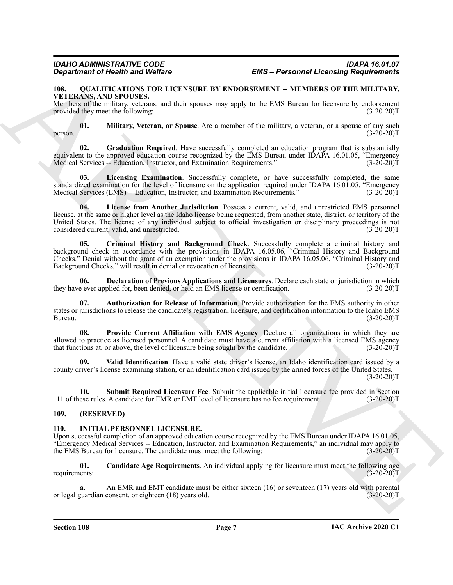#### <span id="page-6-5"></span><span id="page-6-0"></span>108. OUALIFICATIONS FOR LICENSURE BY ENDORSEMENT -- MEMBERS OF THE MILITARY, **VETERANS, AND SPOUSES.**

Members of the military, veterans, and their spouses may apply to the EMS Bureau for licensure by endorsement provided they meet the following: (3-20-20) provided they meet the following:

<span id="page-6-12"></span>**01. Military, Veteran, or Spouse**. Are a member of the military, a veteran, or a spouse of any such person.  $(3-20-20)T$ 

<span id="page-6-9"></span>**02.** Graduation Required. Have successfully completed an education program that is substantially equivalent to the approved education course recognized by the EMS Bureau under IDAPA 16.01.05, "Emergency Medical Services -- Education, Instructor, and Examination Requirements." (3-20-20) Medical Services -- Education, Instructor, and Examination Requirements."

<span id="page-6-11"></span>**03. Licensing Examination**. Successfully complete, or have successfully completed, the same standardized examination for the level of licensure on the application required under IDAPA 16.01.05, "Emergency Medical Services (EMS) -- Education, Instructor, and Examination Requirements." (3-20-20)T

<span id="page-6-10"></span><span id="page-6-7"></span>**04. License from Another Jurisdiction**. Possess a current, valid, and unrestricted EMS personnel license, at the same or higher level as the Idaho license being requested, from another state, district, or territory of the United States. The license of any individual subject to official investigation or disciplinary proceedings is not considered current, valid, and unrestricted. (3-20-20) considered current, valid, and unrestricted.

**EVALUATION We have been considered by the S-Personnel Licensing Regulations (Considered Figure 2018)**<br>
THE ARCHIVES THE SURVEY CONSIDER THE CONSIDER THE SURVEY OF THE SURVEY OF THE SURVEY OF THE SURVEY OF THE SURVEY OF T **05. Criminal History and Background Check**. Successfully complete a criminal history and background check in accordance with the provisions in IDAPA 16.05.06, "Criminal History and Background Checks." Denial without the grant of an exemption under the provisions in IDAPA 16.05.06, "Criminal History and Background Checks," will result in denial or revocation of licensure. (3-20-20)T

<span id="page-6-8"></span>**06. Declaration of Previous Applications and Licensures**. Declare each state or jurisdiction in which e ever applied for, been denied, or held an EMS license or certification. (3-20-20) they have ever applied for, been denied, or held an EMS license or certification.

<span id="page-6-6"></span>**07. Authorization for Release of Information**. Provide authorization for the EMS authority in other states or jurisdictions to release the candidate's registration, licensure, and certification information to the Idaho EMS Bureau. (3-20-20)T

<span id="page-6-13"></span>**08. Provide Current Affiliation with EMS Agency**. Declare all organizations in which they are allowed to practice as licensed personnel. A candidate must have a current affiliation with a licensed EMS agency that functions at, or above, the level of licensure being sought by the candidate. (3-20-20)T that functions at, or above, the level of licensure being sought by the candidate.

<span id="page-6-15"></span>**09. Valid Identification**. Have a valid state driver's license, an Idaho identification card issued by a county driver's license examining station, or an identification card issued by the armed forces of the United States.  $(3-20-20)T$ 

<span id="page-6-14"></span>**10. Submit Required Licensure Fee**. Submit the applicable initial licensure fee provided in Section 111 of these rules. A candidate for EMR or EMT level of licensure has no fee requirement. (3-20-20)T

#### <span id="page-6-1"></span>**109. (RESERVED)**

#### <span id="page-6-3"></span><span id="page-6-2"></span>**110. INITIAL PERSONNEL LICENSURE.**

Upon successful completion of an approved education course recognized by the EMS Bureau under IDAPA 16.01.05, "Emergency Medical Services -- Education, Instructor, and Examination Requirements," an individual may apply to the EMS Bureau for licensure. The candidate must meet the following: (3-20-20) the EMS Bureau for licensure. The candidate must meet the following:

<span id="page-6-4"></span>**01. Candidate Age Requirements**. An individual applying for licensure must meet the following age requirements:  $(3-20-20)T$ 

**a.** An EMR and EMT candidate must be either sixteen (16) or seventeen (17) years old with parental quardian consent, or eighteen (18) years old. (3-20-20) or legal guardian consent, or eighteen (18) years old.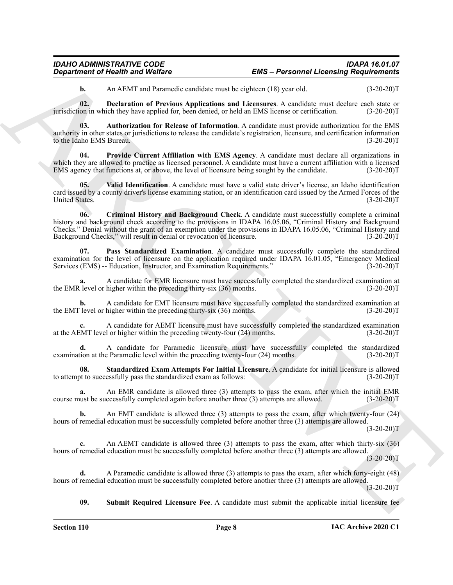#### *IDAHO ADMINISTRATIVE CODE IDAPA 16.01.07 EMS – Personnel Licensing Requirements*

<span id="page-7-2"></span><span id="page-7-0"></span>**b.** An AEMT and Paramedic candidate must be eighteen (18) year old. (3-20-20)T

**02. Declaration of Previous Applications and Licensures**. A candidate must declare each state or on in which they have applied for, been denied, or held an EMS license or certification. (3-20-20) jurisdiction in which they have applied for, been denied, or held an EMS license or certification.

**03. Authorization for Release of Information**. A candidate must provide authorization for the EMS authority in other states or jurisdictions to release the candidate's registration, licensure, and certification information to the Idaho EMS Bureau.

<span id="page-7-4"></span>**Provide Current Affiliation with EMS Agency.** A candidate must declare all organizations in which they are allowed to practice as licensed personnel. A candidate must have a current affiliation with a licensed EMS agency that functions at, or above, the level of licensure being sought by the candidate. (3-20-20)T

<span id="page-7-7"></span><span id="page-7-1"></span>**05. Valid Identification**. A candidate must have a valid state driver's license, an Idaho identification card issued by a county driver's license examining station, or an identification card issued by the Armed Forces of the United States.

*Department of Nearly in a Weblin-* **EMS - Personnel Licensing Requirements**<br> **ARCHIVE and Proposition** and MarchiVe and Network (18) you can be the case of the case of the case of the case of the case of the case of th **06. Criminal History and Background Check**. A candidate must successfully complete a criminal history and background check according to the provisions in IDAPA 16.05.06, "Criminal History and Background Checks." Denial without the grant of an exemption under the provisions in IDAPA 16.05.06, "Criminal History and Background Checks," will result in denial or revocation of licensure. (3-20-20)T

<span id="page-7-3"></span>**07. Pass Standardized Examination**. A candidate must successfully complete the standardized examination for the level of licensure on the application required under IDAPA 16.01.05, "Emergency Medical<br>Services (EMS) -- Education, Instructor, and Examination Requirements." (3-20-20) Services (EMS) -- Education, Instructor, and Examination Requirements."

A candidate for EMR licensure must have successfully completed the standardized examination at higher within the preceding thirty-six (36) months. (35) the EMR level or higher within the preceding thirty-six  $(36)$  months.

**b.** A candidate for EMT licensure must have successfully completed the standardized examination at level or higher within the preceding thirty-six (36) months. (3-20-20) the EMT level or higher within the preceding thirty-six  $(36)$  months.

**c.** A candidate for AEMT licensure must have successfully completed the standardized examination at the AEMT level or higher within the preceding twenty-four (24) months. (3-20-20)T

**d.** A candidate for Paramedic licensure must have successfully completed the standardized tion at the Paramedic level within the preceding twenty-four (24) months. (3-20-20) examination at the Paramedic level within the preceding twenty-four  $(24)$  months.

<span id="page-7-5"></span>**08.** Standardized Exam Attempts For Initial Licensure. A candidate for initial licensure is allowed of to successfully pass the standardized exam as follows: (3-20-20) to attempt to successfully pass the standardized exam as follows:

**a.** An EMR candidate is allowed three (3) attempts to pass the exam, after which the initial EMR course must be successfully completed again before another three (3) attempts are allowed. (3-20-20)T

**b.** An EMT candidate is allowed three (3) attempts to pass the exam, after which twenty-four (24) hours of remedial education must be successfully completed before another three (3) attempts are allowed.

 $(3-20-20)$ T

**c.** An AEMT candidate is allowed three (3) attempts to pass the exam, after which thirty-six (36) hours of remedial education must be successfully completed before another three (3) attempts are allowed.  $(3-20-20)T$ 

**d.** A Paramedic candidate is allowed three (3) attempts to pass the exam, after which forty-eight (48) hours of remedial education must be successfully completed before another three (3) attempts are allowed.  $(3-20-20)T$ 

<span id="page-7-6"></span>**09. Submit Required Licensure Fee**. A candidate must submit the applicable initial licensure fee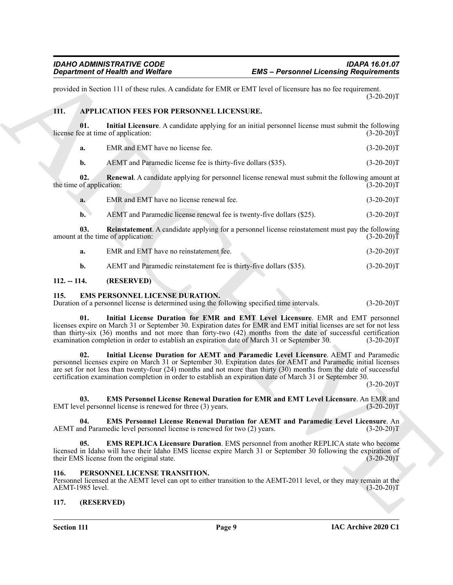provided in Section 111 of these rules. A candidate for EMR or EMT level of licensure has no fee requirement.  $(3-20-20)T$ 

#### <span id="page-8-5"></span><span id="page-8-0"></span>**111. APPLICATION FEES FOR PERSONNEL LICENSURE.**

**01.** Initial Licensure. A candidate applying for an initial personnel license must submit the following ee at time of application: (3-20-20)<sup>T</sup> license fee at time of application:

<span id="page-8-6"></span>

| -а. | EMR and EMT have no license fee. | $(3-20-20)T$ |
|-----|----------------------------------|--------------|
|     |                                  |              |

<span id="page-8-8"></span>**b.** AEMT and Paramedic license fee is thirty-five dollars (\$35). (3-20-20)T

**02. Renewal**. A candidate applying for personnel license renewal must submit the following amount at the time of application: (3-20-20)T

| a. | EMR and EMT have no license renewal fee. | $(3-20-20)T$ |
|----|------------------------------------------|--------------|
|    |                                          |              |

<span id="page-8-7"></span>**b.** AEMT and Paramedic license renewal fee is twenty-five dollars (\$25). (3-20-20)T

**03.** Reinstatement. A candidate applying for a personnel license reinstatement must pay the following it the time of application: (3-20-20)<sup>T</sup> amount at the time of application:

**a.** EMR and EMT have no reinstatement fee. (3-20-20)T

<span id="page-8-14"></span><span id="page-8-9"></span>**b.** AEMT and Paramedic reinstatement fee is thirty-five dollars (\$35). (3-20-20)T

#### <span id="page-8-1"></span>**112. -- 114. (RESERVED)**

#### <span id="page-8-2"></span>**115. EMS PERSONNEL LICENSE DURATION.**

Duration of a personnel license is determined using the following specified time intervals. (3-20-20)T

**EVALUATION THE CONSULTION CONTINUOUSE CONTINUOUSE CONTINUOUSE CONTINUOUSE CONTINUOUSE CONTINUOUSE CONTINUOUSE CONTINUOUSE CONTINUOUSE CONTINUOUSE CONTINUOUSE CONTINUOUSE CONTINUOUSE CONTINUOUSE CONTINUOUSE CONTINUOUSE CO 01. Initial License Duration for EMR and EMT Level Licensure**. EMR and EMT personnel licenses expire on March 31 or September 30. Expiration dates for EMR and EMT initial licenses are set for not less than thirty-six (36) months and not more than forty-two (42) months from the date of successful certification examination completion in order to establish an expiration date of March 31 or September 30. (3-20-20)T examination completion in order to establish an expiration date of March 31 or September 30.

<span id="page-8-13"></span>**02. Initial License Duration for AEMT and Paramedic Level Licensure**. AEMT and Paramedic personnel licenses expire on March 31 or September 30. Expiration dates for AEMT and Paramedic initial licenses are set for not less than twenty-four (24) months and not more than thirty (30) months from the date of successful certification examination completion in order to establish an expiration date of March 31 or September 30.

 $(3-20-20)T$ 

<span id="page-8-11"></span>**03. EMS Personnel License Renewal Duration for EMR and EMT Level Licensure**. An EMR and el personnel license is renewed for three (3) years. (3-20-20) EMT level personnel license is renewed for three  $(3)$  years.

<span id="page-8-10"></span>**04. EMS Personnel License Renewal Duration for AEMT and Paramedic Level Licensure**. An AEMT and Paramedic level personnel license is renewed for two (2) years. (3-20-20)T

<span id="page-8-12"></span>**05. EMS REPLICA Licensure Duration**. EMS personnel from another REPLICA state who become licensed in Idaho will have their Idaho EMS license expire March 31 or September 30 following the expiration of their EMS license from the original state. (3-20-20) their EMS license from the original state.

#### <span id="page-8-15"></span><span id="page-8-3"></span>**116. PERSONNEL LICENSE TRANSITION.**

Personnel licensed at the AEMT level can opt to either transition to the AEMT-2011 level, or they may remain at the AEMT-1985 level.

#### <span id="page-8-4"></span>**117. (RESERVED)**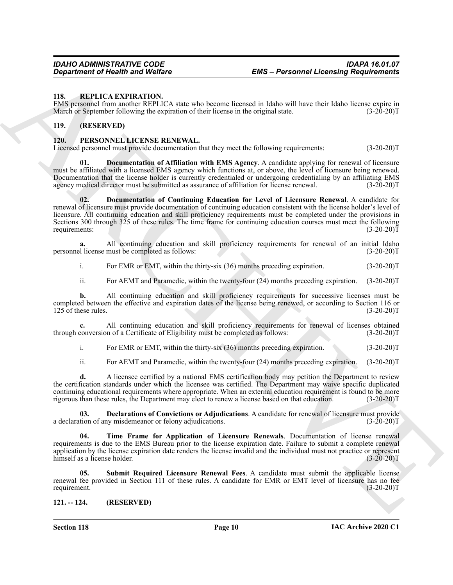#### <span id="page-9-10"></span><span id="page-9-0"></span>**118. REPLICA EXPIRATION.**

EMS personnel from another REPLICA state who become licensed in Idaho will have their Idaho license expire in March or September following the expiration of their license in the original state.

#### <span id="page-9-1"></span>**119. (RESERVED)**

#### <span id="page-9-4"></span><span id="page-9-2"></span>**120. PERSONNEL LICENSE RENEWAL.**

Licensed personnel must provide documentation that they meet the following requirements: (3-20-20)T

<span id="page-9-7"></span><span id="page-9-6"></span>**01. Documentation of Affiliation with EMS Agency**. A candidate applying for renewal of licensure must be affiliated with a licensed EMS agency which functions at, or above, the level of licensure being renewed. Documentation that the license holder is currently credentialed or undergoing credentialing by an affiliating EMS agency medical director must be submitted as assurance of affiliation for license renewal. (3-20-20)T

**EVALUATION** CONTINUOUS CONFIRMATION CONTINUOUS CONTINUOUS CONFIRMATION CONTINUOUS CONFIRMATION CONFIRMATION CONTINUOUS CONFIRMATION CONFIRMATION CONFIRMATION CONFIRMATION CONFIRMATION CONFIRMATION CONFIRMATION CONFIRMATI **02. Documentation of Continuing Education for Level of Licensure Renewal**. A candidate for renewal of licensure must provide documentation of continuing education consistent with the license holder's level of licensure. All continuing education and skill proficiency requirements must be completed under the provisions in Sections 300 through 325 of these rules. The time frame for continuing education courses must meet the following requirements:  $(3-20-20)T$ 

**a.** All continuing education and skill proficiency requirements for renewal of an initial Idaho<br>el license must be completed as follows: (3-20-20) personnel license must be completed as follows:

i. For EMR or EMT, within the thirty-six (36) months preceding expiration. (3-20-20)T

ii. For AEMT and Paramedic, within the twenty-four (24) months preceding expiration. (3-20-20)T

**b.** All continuing education and skill proficiency requirements for successive licenses must be completed between the effective and expiration dates of the license being renewed, or according to Section 116 or 125 of these rules. (3-20-20) 125 of these rules.

**c.** All continuing education and skill proficiency requirements for renewal of licenses obtained conversion of a Certificate of Eligibility must be completed as follows: (3-20-20) through conversion of a Certificate of Eligibility must be completed as follows:

i. For EMR or EMT, within the thirty-six (36) months preceding expiration. (3-20-20)T

<span id="page-9-5"></span>ii. For AEMT and Paramedic, within the twenty-four (24) months preceding expiration. (3-20-20)T

**d.** A licensee certified by a national EMS certification body may petition the Department to review the certification standards under which the licensee was certified. The Department may waive specific duplicated continuing educational requirements where appropriate. When an external education requirement is found to be more rigorous than these rules, the Department may elect to renew a license based on that education. (3-20-20)T

**03. Declarations of Convictions or Adjudications**. A candidate for renewal of licensure must provide tion of any misdemeanor or felony adjudications. (3-20-20) a declaration of any misdemeanor or felony adjudications.

<span id="page-9-9"></span>**04. Time Frame for Application of Licensure Renewals**. Documentation of license renewal requirements is due to the EMS Bureau prior to the license expiration date. Failure to submit a complete renewal application by the license expiration date renders the license invalid and the individual must not practice or represent himself as a license holder. (3-20-20)T

<span id="page-9-8"></span>**05. Submit Required Licensure Renewal Fees**. A candidate must submit the applicable license renewal fee provided in Section 111 of these rules. A candidate for EMR or EMT level of licensure has no fee requirement. (3-20-20)T requirement.

<span id="page-9-3"></span>**121. -- 124. (RESERVED)**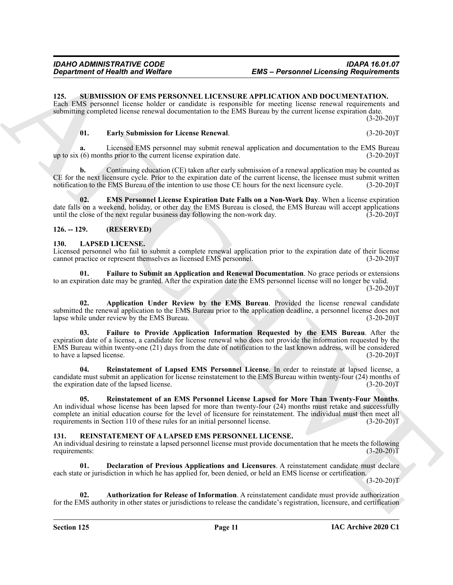#### <span id="page-10-13"></span><span id="page-10-0"></span>**125. SUBMISSION OF EMS PERSONNEL LICENSURE APPLICATION AND DOCUMENTATION.**

Each EMS personnel license holder or candidate is responsible for meeting license renewal requirements and submitting completed license renewal documentation to the EMS Bureau by the current license expiration date.  $(3-20-20)T$ 

#### <span id="page-10-14"></span>**01. Early Submission for License Renewal**. (3-20-20)T

**a.** Licensed EMS personnel may submit renewal application and documentation to the EMS Bureau (6) months prior to the current license expiration date.  $(3-20-20)T$ up to six  $(6)$  months prior to the current license expiration date.

**b.** Continuing education (CE) taken after early submission of a renewal application may be counted as CE for the next licensure cycle. Prior to the expiration date of the current license, the licensee must submit written notification to the EMS Bureau of the intention to use those CE hours for the next licensure cycle. (3-20-20)T

<span id="page-10-15"></span>**02. EMS Personnel License Expiration Date Falls on a Non-Work Day**. When a license expiration date falls on a weekend, holiday, or other day the EMS Bureau is closed, the EMS Bureau will accept applications until the close of the next regular business day following the non-work day.  $(3-20-20)T$ 

#### <span id="page-10-1"></span>**126. -- 129. (RESERVED)**

#### <span id="page-10-4"></span><span id="page-10-2"></span>**130. LAPSED LICENSE.**

Licensed personnel who fail to submit a complete renewal application prior to the expiration date of their license cannot practice or represent themselves as licensed EMS personnel. (3-20-20)T

<span id="page-10-7"></span>**01. Failure to Submit an Application and Renewal Documentation**. No grace periods or extensions to an expiration date may be granted. After the expiration date the EMS personnel license will no longer be valid.  $(3-20-20)T$ 

<span id="page-10-6"></span><span id="page-10-5"></span>**02. Application Under Review by the EMS Bureau**. Provided the license renewal candidate submitted the renewal application to the EMS Bureau prior to the application deadline, a personnel license does not lapse while under review by the EMS Bureau. lapse while under review by the EMS Bureau.

**EVALUATION CONTRACT CONSULTER CONSULTS AND ACCOUNT CONSULTS AND CONSULTS CONSULTS (September 2018)**<br>
The specific state of the specific state of the specific state of the specific state of the specific state of the speci **03. Failure to Provide Application Information Requested by the EMS Bureau**. After the expiration date of a license, a candidate for license renewal who does not provide the information requested by the EMS Bureau within twenty-one (21) days from the date of notification to the last known address, will be considered to have a lapsed license.

<span id="page-10-9"></span>**04. Reinstatement of Lapsed EMS Personnel License**. In order to reinstate at lapsed license, a candidate must submit an application for license reinstatement to the EMS Bureau within twenty-four  $(24)$  months of the expiration date of the lapsed license.  $(3-20-20)$ the expiration date of the lapsed license.

<span id="page-10-8"></span>**05. Reinstatement of an EMS Personnel License Lapsed for More Than Twenty-Four Months**. An individual whose license has been lapsed for more than twenty-four (24) months must retake and successfully complete an initial education course for the level of licensure for reinstatement. The individual must then meet all requirements in Section 110 of these rules for an initial personnel license. (3-20-20) requirements in Section 110 of these rules for an initial personnel license.

#### <span id="page-10-10"></span><span id="page-10-3"></span>**131. REINSTATEMENT OF A LAPSED EMS PERSONNEL LICENSE.**

An individual desiring to reinstate a lapsed personnel license must provide documentation that he meets the following requirements: (3-20-20) requirements:

<span id="page-10-12"></span>**01. Declaration of Previous Applications and Licensures**. A reinstatement candidate must declare each state or jurisdiction in which he has applied for, been denied, or held an EMS license or certification.

 $(3-20-20)T$ 

<span id="page-10-11"></span>**02. Authorization for Release of Information**. A reinstatement candidate must provide authorization for the EMS authority in other states or jurisdictions to release the candidate's registration, licensure, and certification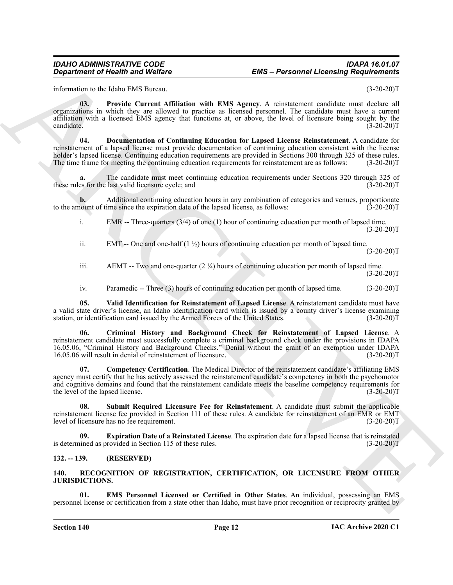#### *IDAHO ADMINISTRATIVE CODE IDAPA 16.01.07 EMS – Personnel Licensing Requirements*

information to the Idaho EMS Bureau. (3-20-20)T

<span id="page-11-8"></span><span id="page-11-6"></span>**03. Provide Current Affiliation with EMS Agency**. A reinstatement candidate must declare all organizations in which they are allowed to practice as licensed personnel. The candidate must have a current affiliation with a licensed EMS agency that functions at, or above, the level of licensure being sought by the  $\text{candidate.}$  (3-20-20)T

**Engine The United West Lines and West Construction**<br>  $\frac{1}{2}$  and  $\frac{1}{2}$  and  $\frac{1}{2}$  and  $\frac{1}{2}$  and  $\frac{1}{2}$  and  $\frac{1}{2}$  and  $\frac{1}{2}$  and  $\frac{1}{2}$  and  $\frac{1}{2}$  and  $\frac{1}{2}$  and  $\frac{1}{2}$  and  $\frac{1}{2}$  and **04. Documentation of Continuing Education for Lapsed License Reinstatement**. A candidate for reinstatement of a lapsed license must provide documentation of continuing education consistent with the license holder's lapsed license. Continuing education requirements are provided in Sections 300 through 325 of these rules.<br>The time frame for meeting the continuing education requirements for reinstatement are as follows: (3-20-2 The time frame for meeting the continuing education requirements for reinstatement are as follows:

**a.** The candidate must meet continuing education requirements under Sections 320 through 325 of these rules for the last valid licensure cycle; and (3-20-20)T

**b.** Additional continuing education hours in any combination of categories and venues, proportionate hount of time since the expiration date of the lapsed license, as follows: (3-20-20) to the amount of time since the expiration date of the lapsed license, as follows:

i. EMR -- Three-quarters (3/4) of one (1) hour of continuing education per month of lapsed time.  $(3-20-20)T$ 

ii. EMT -- One and one-half  $(1 \frac{1}{2})$  hours of continuing education per month of lapsed time.  $(3-20-20)T$ 

iii. AEMT -- Two and one-quarter  $(2 \frac{1}{4})$  hours of continuing education per month of lapsed time.  $(3-20-20)T$ 

<span id="page-11-10"></span><span id="page-11-5"></span>iv. Paramedic -- Three (3) hours of continuing education per month of lapsed time. (3-20-20)T

**05. Valid Identification for Reinstatement of Lapsed License**. A reinstatement candidate must have a valid state driver's license, an Idaho identification card which is issued by a county driver's license examining station, or identification card issued by the Armed Forces of the United States. (3-20-20) station, or identification card issued by the Armed Forces of the United States.

**06. Criminal History and Background Check for Reinstatement of Lapsed License**. A reinstatement candidate must successfully complete a criminal background check under the provisions in IDAPA 16.05.06, "Criminal History and Background Checks." Denial without the grant of an exemption under IDAPA 16.05.06 will result in denial of reinstatement of licensure.

<span id="page-11-4"></span>**07. Competency Certification**. The Medical Director of the reinstatement candidate's affiliating EMS agency must certify that he has actively assessed the reinstatement candidate's competency in both the psychomotor and cognitive domains and found that the reinstatement candidate meets the baseline competency requirements for the level of the lapsed license. (3-20-20)T

<span id="page-11-9"></span>**08. Submit Required Licensure Fee for Reinstatement**. A candidate must submit the applicable reinstatement license fee provided in Section 111 of these rules. A candidate for reinstatement of an EMR or EMT<br>(3-20-20)T level of licensure has no fee requirement.

<span id="page-11-7"></span>**Expiration Date of a Reinstated License**. The expiration date for a lapsed license that is reinstated is determined as provided in Section 115 of these rules. (3-20-20)T

#### <span id="page-11-0"></span>**132. -- 139. (RESERVED)**

#### <span id="page-11-2"></span><span id="page-11-1"></span>**140. RECOGNITION OF REGISTRATION, CERTIFICATION, OR LICENSURE FROM OTHER JURISDICTIONS.**

<span id="page-11-3"></span>**01. EMS Personnel Licensed or Certified in Other States**. An individual, possessing an EMS personnel license or certification from a state other than Idaho, must have prior recognition or reciprocity granted by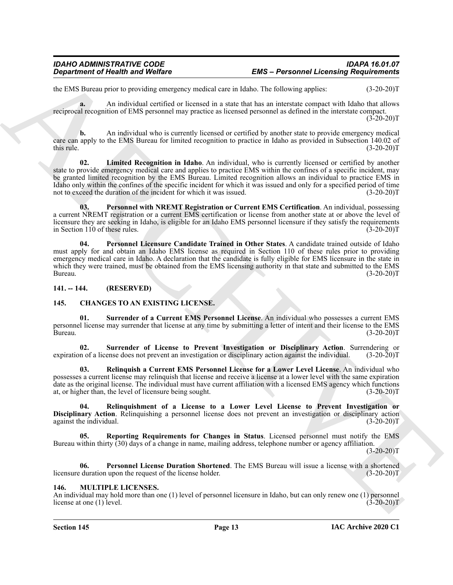the EMS Bureau prior to providing emergency medical care in Idaho. The following applies: (3-20-20)T

**a.** An individual certified or licensed in a state that has an interstate compact with Idaho that allows reciprocal recognition of EMS personnel may practice as licensed personnel as defined in the interstate compact.  $(3-20-20)$ T

**b.** An individual who is currently licensed or certified by another state to provide emergency medical care can apply to the EMS Bureau for limited recognition to practice in Idaho as provided in Subsection 140.02 of this rule.  $(3-20-20)T$ 

<span id="page-12-11"></span>**02. Limited Recognition in Idaho**. An individual, who is currently licensed or certified by another state to provide emergency medical care and applies to practice EMS within the confines of a specific incident, may be granted limited recognition by the EMS Bureau. Limited recognition allows an individual to practice EMS in Idaho only within the confines of the specific incident for which it was issued and only for a specified period of time not to exceed the duration of the incident for which it was issued. (3-20-20)T

<span id="page-12-13"></span><span id="page-12-12"></span>**03. Personnel with NREMT Registration or Current EMS Certification**. An individual, possessing a current NREMT registration or a current EMS certification or license from another state at or above the level of licensure they are seeking in Idaho, is eligible for an Idaho EMS personnel licensure if they satisfy the requirements in Section 110 of these rules. (3-20-20)T

**EVAL Toward Constraint Constraint Constraint Constraint Constraint Constraint Constraint Constraint Constraint Constraint Constraint Constraint Constraint Constraint Constraint Constraint Constraint Constraint Constraint 04. Personnel Licensure Candidate Trained in Other States**. A candidate trained outside of Idaho must apply for and obtain an Idaho EMS license as required in Section 110 of these rules prior to providing emergency medical care in Idaho. A declaration that the candidate is fully eligible for EMS licensure in the state in which they were trained, must be obtained from the EMS licensing authority in that state and submitted to the EMS<br>(3-20-20)T Bureau. (3-20-20)T

<span id="page-12-0"></span>**141. -- 144. (RESERVED)**

#### <span id="page-12-3"></span><span id="page-12-1"></span>**145. CHANGES TO AN EXISTING LICENSE.**

<span id="page-12-8"></span>**01. Surrender of a Current EMS Personnel License**. An individual who possesses a current EMS personnel license may surrender that license at any time by submitting a letter of intent and their license to the EMS Bureau. (3-20-20)T

<span id="page-12-9"></span>**02. Surrender of License to Prevent Investigation or Disciplinary Action**. Surrendering or expiration of a license does not prevent an investigation or disciplinary action against the individual.

<span id="page-12-5"></span>**03. Relinquish a Current EMS Personnel License for a Lower Level License**. An individual who possesses a current license may relinquish that license and receive a license at a lower level with the same expiration date as the original license. The individual must have current affiliation with a licensed EMS agency which functions at, or higher than, the level of licensure being sought. (3-20-20)T

<span id="page-12-6"></span>**04. Relinquishment of a License to a Lower Level License to Prevent Investigation or Disciplinary Action**. Relinquishing a personnel license does not prevent an investigation or disciplinary action against the individual. (3-20-20)T against the individual.

<span id="page-12-7"></span>**05. Reporting Requirements for Changes in Status**. Licensed personnel must notify the EMS Bureau within thirty (30) days of a change in name, mailing address, telephone number or agency affiliation.

 $(3-20-20)T$ 

<span id="page-12-4"></span>**06.** Personnel License Duration Shortened. The EMS Bureau will issue a license with a shortened duration upon the request of the license holder. (3-20-20) licensure duration upon the request of the license holder.

#### <span id="page-12-10"></span><span id="page-12-2"></span>**146. MULTIPLE LICENSES.**

An individual may hold more than one (1) level of personnel licensure in Idaho, but can only renew one (1) personnel license at one (1) level.  $(3-20-20)T$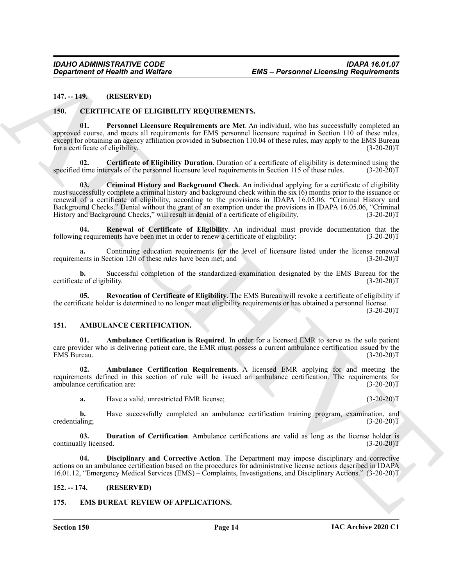#### <span id="page-13-0"></span>**147. -- 149. (RESERVED)**

#### <span id="page-13-13"></span><span id="page-13-10"></span><span id="page-13-1"></span>**150. CERTIFICATE OF ELIGIBILITY REQUIREMENTS.**

**01. Personnel Licensure Requirements are Met**. An individual, who has successfully completed an approved course, and meets all requirements for EMS personnel licensure required in Section 110 of these rules, except for obtaining an agency affiliation provided in Subsection 110.04 of these rules, may apply to the EMS Bureau for a certificate of eligibility. (3-20-20)T

<span id="page-13-12"></span><span id="page-13-11"></span>**02. Certificate of Eligibility Duration**. Duration of a certificate of eligibility is determined using the specified time intervals of the personnel licensure level requirements in Section 115 of these rules. (3-20-20)T

*Great from the Hills Contribute Contribute Contribute Contribute Contribute Contribute Contribute Contribute Contribute Contribute Contribute Contribute Contribute Contribute Contribute Contribute Contribute Contribute* **03. Criminal History and Background Check**. An individual applying for a certificate of eligibility must successfully complete a criminal history and background check within the six (6) months prior to the issuance or renewal of a certificate of eligibility, according to the provisions in IDAPA 16.05.06, "Criminal History and Background Checks." Denial without the grant of an exemption under the provisions in IDAPA 16.05.06, "Criminal History and Background Checks," will result in denial of a certificate of eligibility. (3-20-20)T

<span id="page-13-14"></span>**04. Renewal of Certificate of Eligibility**. An individual must provide documentation that the following requirements have been met in order to renew a certificate of eligibility: (3-20-20)T

**a.** Continuing education requirements for the level of licensure listed under the license renewal requirements in Section 120 of these rules have been met; and (3-20-20)T

**b.** Successful completion of the standardized examination designated by the EMS Bureau for the certificate of eligibility. (3-20-20)T

<span id="page-13-15"></span>**05. Revocation of Certificate of Eligibility**. The EMS Bureau will revoke a certificate of eligibility if the certificate holder is determined to no longer meet eligibility requirements or has obtained a personnel license.

 $(3-20-20)T$ 

#### <span id="page-13-5"></span><span id="page-13-2"></span>**151. AMBULANCE CERTIFICATION.**

<span id="page-13-6"></span>**01. Ambulance Certification is Required**. In order for a licensed EMR to serve as the sole patient care provider who is delivering patient care, the EMR must possess a current ambulance certification issued by the EMS Bureau. (3-20-20)T

**02. Ambulance Certification Requirements**. A licensed EMR applying for and meeting the requirements defined in this section of rule will be issued an ambulance certification. The requirements for ambulance certification are: (3-20-20) ambulance certification are:

<span id="page-13-9"></span><span id="page-13-7"></span>**a.** Have a valid, unrestricted EMR license; (3-20-20)T

**b.** Have successfully completed an ambulance certification training program, examination, and ling; (3-20-20) credentialing;

**03.** Duration of Certification. Ambulance certifications are valid as long as the license holder is lly licensed. (3-20-20) continually licensed.

<span id="page-13-8"></span>**04. Disciplinary and Corrective Action**. The Department may impose disciplinary and corrective actions on an ambulance certification based on the procedures for administrative license actions described in IDAPA 16.01.12, "Emergency Medical Services (EMS) – Complaints, Investigations, and Disciplinary Actions." (3-20-20)T

#### <span id="page-13-3"></span>**152. -- 174. (RESERVED)**

#### <span id="page-13-16"></span><span id="page-13-4"></span>**175. EMS BUREAU REVIEW OF APPLICATIONS.**

**Section 150 Page 14**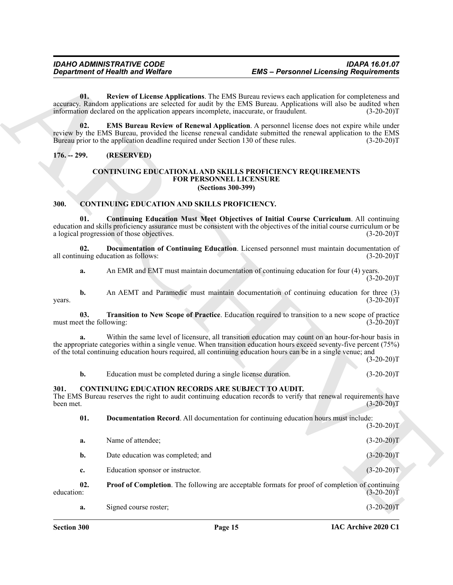#### <span id="page-14-1"></span><span id="page-14-0"></span>**176. -- 299. (RESERVED)**

#### <span id="page-14-13"></span><span id="page-14-12"></span><span id="page-14-11"></span><span id="page-14-5"></span>**CONTINUING EDUCATIONAL AND SKILLS PROFICIENCY REQUIREMENTS FOR PERSONNEL LICENSURE (Sections 300-399)**

#### <span id="page-14-6"></span><span id="page-14-4"></span><span id="page-14-2"></span>**300. CONTINUING EDUCATION AND SKILLS PROFICIENCY.**

#### <span id="page-14-10"></span><span id="page-14-9"></span><span id="page-14-8"></span><span id="page-14-7"></span><span id="page-14-3"></span>**301. CONTINUING EDUCATION RECORDS ARE SUBJECT TO AUDIT.**

|                                 | <b>Department of Health and Welfare</b>                                                | <b>EMS</b> - Personnel Licensing Requirements                                                                                                                                                                                                                                                                                                |              |
|---------------------------------|----------------------------------------------------------------------------------------|----------------------------------------------------------------------------------------------------------------------------------------------------------------------------------------------------------------------------------------------------------------------------------------------------------------------------------------------|--------------|
| 01.                             | information declared on the application appears incomplete, inaccurate, or fraudulent. | Review of License Applications. The EMS Bureau reviews each application for completeness and<br>accuracy. Random applications are selected for audit by the EMS Bureau. Applications will also be audited when                                                                                                                               | $(3-20-20)T$ |
| 02.                             | Bureau prior to the application deadline required under Section 130 of these rules.    | <b>EMS Bureau Review of Renewal Application.</b> A personnel license does not expire while under<br>review by the EMS Bureau, provided the license renewal candidate submitted the renewal application to the EMS                                                                                                                            | $(3-20-20)T$ |
| $176. - 299.$                   | (RESERVED)                                                                             |                                                                                                                                                                                                                                                                                                                                              |              |
|                                 |                                                                                        | <b>CONTINUING EDUCATIONAL AND SKILLS PROFICIENCY REQUIREMENTS</b><br>FOR PERSONNEL LICENSURE<br>(Sections 300-399)                                                                                                                                                                                                                           |              |
| 300.                            | CONTINUING EDUCATION AND SKILLS PROFICIENCY.                                           |                                                                                                                                                                                                                                                                                                                                              |              |
| 01.                             | a logical progression of those objectives.                                             | <b>Continuing Education Must Meet Objectives of Initial Course Curriculum.</b> All continuing<br>education and skills proficiency assurance must be consistent with the objectives of the initial course curriculum or be                                                                                                                    | $(3-20-20)T$ |
| 02.                             | all continuing education as follows:                                                   | Documentation of Continuing Education. Licensed personnel must maintain documentation of                                                                                                                                                                                                                                                     | $(3-20-20)T$ |
| a.                              |                                                                                        | An EMR and EMT must maintain documentation of continuing education for four (4) years.                                                                                                                                                                                                                                                       | $(3-20-20)T$ |
| b.<br>years.                    |                                                                                        | An AEMT and Paramedic must maintain documentation of continuing education for three (3)                                                                                                                                                                                                                                                      | $(3-20-20)T$ |
| 03.<br>must meet the following: |                                                                                        | Transition to New Scope of Practice. Education required to transition to a new scope of practice                                                                                                                                                                                                                                             | $(3-20-20)T$ |
|                                 |                                                                                        | Within the same level of licensure, all transition education may count on an hour-for-hour basis in<br>the appropriate categories within a single venue. When transition education hours exceed seventy-five percent (75%)<br>of the total continuing education hours required, all continuing education hours can be in a single venue; and | $(3-20-20)T$ |
| b.                              | Education must be completed during a single license duration.                          |                                                                                                                                                                                                                                                                                                                                              | $(3-20-20)T$ |
| 301.<br>been met.               | <b>CONTINUING EDUCATION RECORDS ARE SUBJECT TO AUDIT.</b>                              | The EMS Bureau reserves the right to audit continuing education records to verify that renewal requirements have                                                                                                                                                                                                                             | $(3-20-20)T$ |
| 01.                             |                                                                                        | Documentation Record. All documentation for continuing education hours must include:                                                                                                                                                                                                                                                         | $(3-20-20)T$ |
| a.                              | Name of attendee;                                                                      |                                                                                                                                                                                                                                                                                                                                              | $(3-20-20)T$ |
| b.                              | Date education was completed; and                                                      |                                                                                                                                                                                                                                                                                                                                              | $(3-20-20)T$ |
| c.                              | Education sponsor or instructor.                                                       |                                                                                                                                                                                                                                                                                                                                              | $(3-20-20)T$ |
| 02.<br>education:               |                                                                                        | <b>Proof of Completion.</b> The following are acceptable formats for proof of completion of continuing                                                                                                                                                                                                                                       | $(3-20-20)T$ |
| a.                              | Signed course roster;                                                                  |                                                                                                                                                                                                                                                                                                                                              | $(3-20-20)T$ |
|                                 |                                                                                        |                                                                                                                                                                                                                                                                                                                                              |              |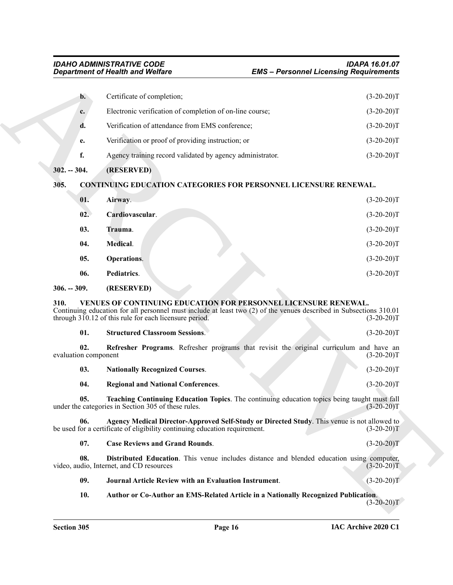<span id="page-15-21"></span><span id="page-15-20"></span><span id="page-15-19"></span><span id="page-15-18"></span><span id="page-15-17"></span><span id="page-15-16"></span><span id="page-15-15"></span><span id="page-15-14"></span><span id="page-15-13"></span><span id="page-15-12"></span><span id="page-15-11"></span><span id="page-15-10"></span><span id="page-15-9"></span><span id="page-15-8"></span><span id="page-15-7"></span><span id="page-15-6"></span><span id="page-15-5"></span><span id="page-15-4"></span><span id="page-15-3"></span><span id="page-15-2"></span><span id="page-15-1"></span><span id="page-15-0"></span>

|                             | <b>Department of Health and Welfare</b>                                                                                                                                                                                                         | <b>EMS - Personnel Licensing Requirements</b> |  |
|-----------------------------|-------------------------------------------------------------------------------------------------------------------------------------------------------------------------------------------------------------------------------------------------|-----------------------------------------------|--|
| $\mathbf{b}$ .              | Certificate of completion;                                                                                                                                                                                                                      | $(3-20-20)T$                                  |  |
| c.                          | Electronic verification of completion of on-line course;                                                                                                                                                                                        | $(3-20-20)T$                                  |  |
| d.                          | Verification of attendance from EMS conference;                                                                                                                                                                                                 | $(3-20-20)T$                                  |  |
| e.                          | Verification or proof of providing instruction; or                                                                                                                                                                                              | $(3-20-20)T$                                  |  |
| f.                          | Agency training record validated by agency administrator.                                                                                                                                                                                       | $(3-20-20)T$                                  |  |
| $302. - 304.$               | (RESERVED)                                                                                                                                                                                                                                      |                                               |  |
| 305.                        | CONTINUING EDUCATION CATEGORIES FOR PERSONNEL LICENSURE RENEWAL.                                                                                                                                                                                |                                               |  |
| 01.                         | Airway.                                                                                                                                                                                                                                         | $(3-20-20)T$                                  |  |
| 02.                         | Cardiovascular.                                                                                                                                                                                                                                 | $(3-20-20)T$                                  |  |
| 03.                         | Trauma.                                                                                                                                                                                                                                         | $(3-20-20)T$                                  |  |
| 04.                         | Medical.                                                                                                                                                                                                                                        | $(3-20-20)T$                                  |  |
| 05.                         | Operations.                                                                                                                                                                                                                                     | $(3-20-20)T$                                  |  |
| 06.                         | Pediatrics.                                                                                                                                                                                                                                     | $(3-20-20)T$                                  |  |
| $306. - 309.$               | (RESERVED)                                                                                                                                                                                                                                      |                                               |  |
| 310.                        | VENUES OF CONTINUING EDUCATION FOR PERSONNEL LICENSURE RENEWAL.<br>Continuing education for all personnel must include at least two (2) of the venues described in Subsections 310.01<br>through 310.12 of this rule for each licensure period. | $(3-20-20)T$                                  |  |
| 01.                         | <b>Structured Classroom Sessions.</b>                                                                                                                                                                                                           | $(3-20-20)T$                                  |  |
| 02.<br>evaluation component | Refresher Programs. Refresher programs that revisit the original curriculum and have an                                                                                                                                                         | $(3-20-20)T$                                  |  |
| 03.                         | <b>Nationally Recognized Courses.</b>                                                                                                                                                                                                           | $(3-20-20)T$                                  |  |
| 04.                         | <b>Regional and National Conferences.</b>                                                                                                                                                                                                       | $(3-20-20)T$                                  |  |
| 05.                         | Teaching Continuing Education Topics. The continuing education topics being taught must fall<br>under the categories in Section 305 of these rules.                                                                                             | $(3-20-20)T$                                  |  |
| 06.                         | Agency Medical Director-Approved Self-Study or Directed Study. This venue is not allowed to<br>be used for a certificate of eligibility continuing education requirement.                                                                       | $(3-20-20)T$                                  |  |
| 07.                         | <b>Case Reviews and Grand Rounds.</b>                                                                                                                                                                                                           | $(3-20-20)T$                                  |  |
|                             | <b>Distributed Education.</b> This venue includes distance and blended education using computer,<br>video, audio, Internet, and CD resources                                                                                                    | $(3-20-20)T$                                  |  |
| 08.                         |                                                                                                                                                                                                                                                 |                                               |  |
| 09.                         | <b>Journal Article Review with an Evaluation Instrument.</b>                                                                                                                                                                                    | $(3-20-20)T$                                  |  |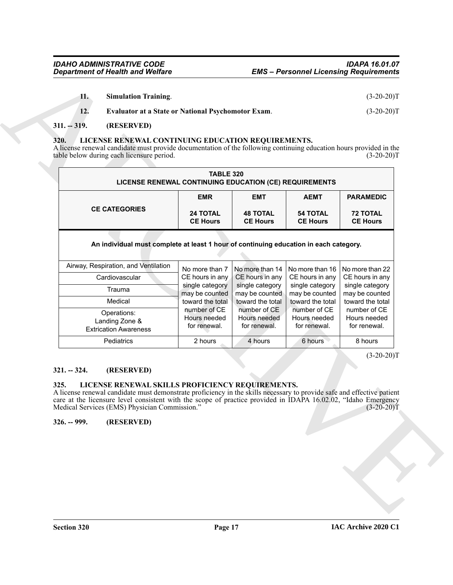<span id="page-16-8"></span><span id="page-16-7"></span>

| <b>Simulation Training.</b> | $(3-20-20)T$ |
|-----------------------------|--------------|
|-----------------------------|--------------|

### <span id="page-16-0"></span>**311. -- 319. (RESERVED)**

#### <span id="page-16-5"></span><span id="page-16-1"></span>**320. LICENSE RENEWAL CONTINUING EDUCATION REQUIREMENTS.**

| <b>EMR</b><br><b>EMT</b><br><b>AEMT</b><br><b>PARAMEDIC</b><br><b>CE CATEGORIES</b><br><b>24 TOTAL</b><br><b>48 TOTAL</b><br><b>54 TOTAL</b><br><b>72 TOTAL</b><br><b>CE Hours</b><br><b>CE Hours</b><br><b>CE Hours</b><br><b>CE Hours</b><br>An individual must complete at least 1 hour of continuing education in each category.<br>Airway, Respiration, and Ventilation<br>No more than 7<br>No more than 14<br>No more than 16<br>No more than 22<br>CE hours in any<br>CE hours in any<br>CE hours in any<br>CE hours in any<br>Cardiovascular<br>single category<br>single category<br>single category<br>single category<br>Trauma<br>may be counted<br>may be counted<br>may be counted<br>may be counted<br>Medical<br>toward the total<br>toward the total<br>toward the total<br>toward the total<br>number of CE<br>number of CE<br>number of CE<br>number of CE<br>Operations:<br>Hours needed<br>Hours needed<br>Hours needed<br>Hours needed<br>Landing Zone &<br>for renewal.<br>for renewal.<br>for renewal.<br>for renewal.<br><b>Extrication Awareness</b><br>Pediatrics<br>2 hours<br>4 hours<br>6 hours<br>8 hours<br>$(3-20-20)T$<br>(RESERVED)<br>LICENSE RENEWAL SKILLS PROFICIENCY REQUIREMENTS.<br>A license renewal candidate must demonstrate proficiency in the skills necessary to provide safe and effective patient<br>care at the licensure level consistent with the scope of practice provided in IDAPA 16.02.02, "Idaho Emergency |                       | <b>TABLE 320</b><br>LICENSE RENEWAL CONTINUING EDUCATION (CE) REQUIREMENTS |  |  |  |  |
|-------------------------------------------------------------------------------------------------------------------------------------------------------------------------------------------------------------------------------------------------------------------------------------------------------------------------------------------------------------------------------------------------------------------------------------------------------------------------------------------------------------------------------------------------------------------------------------------------------------------------------------------------------------------------------------------------------------------------------------------------------------------------------------------------------------------------------------------------------------------------------------------------------------------------------------------------------------------------------------------------------------------------------------------------------------------------------------------------------------------------------------------------------------------------------------------------------------------------------------------------------------------------------------------------------------------------------------------------------------------------------------------------------------------------------------------------------------------------|-----------------------|----------------------------------------------------------------------------|--|--|--|--|
|                                                                                                                                                                                                                                                                                                                                                                                                                                                                                                                                                                                                                                                                                                                                                                                                                                                                                                                                                                                                                                                                                                                                                                                                                                                                                                                                                                                                                                                                         |                       |                                                                            |  |  |  |  |
|                                                                                                                                                                                                                                                                                                                                                                                                                                                                                                                                                                                                                                                                                                                                                                                                                                                                                                                                                                                                                                                                                                                                                                                                                                                                                                                                                                                                                                                                         |                       |                                                                            |  |  |  |  |
|                                                                                                                                                                                                                                                                                                                                                                                                                                                                                                                                                                                                                                                                                                                                                                                                                                                                                                                                                                                                                                                                                                                                                                                                                                                                                                                                                                                                                                                                         |                       |                                                                            |  |  |  |  |
|                                                                                                                                                                                                                                                                                                                                                                                                                                                                                                                                                                                                                                                                                                                                                                                                                                                                                                                                                                                                                                                                                                                                                                                                                                                                                                                                                                                                                                                                         |                       |                                                                            |  |  |  |  |
|                                                                                                                                                                                                                                                                                                                                                                                                                                                                                                                                                                                                                                                                                                                                                                                                                                                                                                                                                                                                                                                                                                                                                                                                                                                                                                                                                                                                                                                                         |                       |                                                                            |  |  |  |  |
|                                                                                                                                                                                                                                                                                                                                                                                                                                                                                                                                                                                                                                                                                                                                                                                                                                                                                                                                                                                                                                                                                                                                                                                                                                                                                                                                                                                                                                                                         |                       |                                                                            |  |  |  |  |
|                                                                                                                                                                                                                                                                                                                                                                                                                                                                                                                                                                                                                                                                                                                                                                                                                                                                                                                                                                                                                                                                                                                                                                                                                                                                                                                                                                                                                                                                         |                       |                                                                            |  |  |  |  |
| Medical Services (EMS) Physician Commission."<br>$(3-20-20)T$                                                                                                                                                                                                                                                                                                                                                                                                                                                                                                                                                                                                                                                                                                                                                                                                                                                                                                                                                                                                                                                                                                                                                                                                                                                                                                                                                                                                           | $321. - 324.$<br>325. |                                                                            |  |  |  |  |

#### <span id="page-16-2"></span>**321. -- 324. (RESERVED)**

#### <span id="page-16-6"></span><span id="page-16-4"></span><span id="page-16-3"></span>**325. LICENSE RENEWAL SKILLS PROFICIENCY REQUIREMENTS.**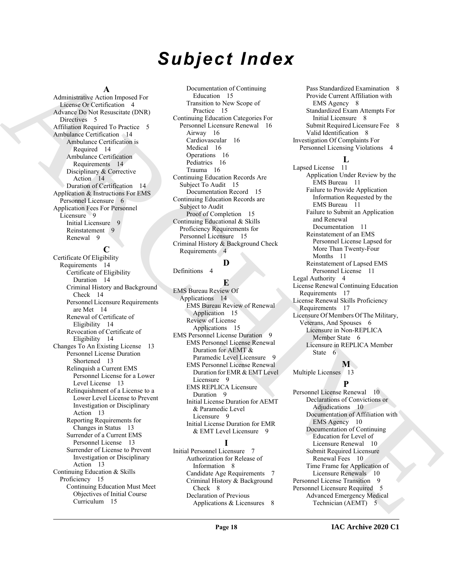# *Subject Index*

#### **A**

Administrative Action Imposed For License Or Certification 4 Advance Do Not Resuscitate (DNR) Directives 5 Affiliation Required To Practice 5 Ambulance Certification 14 Ambulance Certification is Required 14 Ambulance Certification Requirements 14 Disciplinary & Corrective Action 14 Duration of Certification 14 Application & Instructions For EMS Personnel Licensure 6 Application Fees For Personnel Licensure 9 Initial Licensure 9 Reinstatement 9 Renewal 9

**C**

[A](#page-3-10)dministration Action (Actional Design Des [R](#page-13-6)esembles Proposition ([C](#page-14-11)ollinia) Parameteris (Schematical Companies of the Companies of the Companies of the Companies of the Companies of the Companies of the Companies of the C Certificate Of Eligibility Requirements 14 Certificate of Eligibility Duration 14 Criminal History and Background Check 14 Personnel Licensure Requirements are Met 14 Renewal of Certificate of Eligibility 14 Revocation of Certificate of Eligibility 14 Changes To An Existing License 13 Personnel License Duration Shortened 13 Relinquish a Current EMS Personnel License for a Lower Level License 13 Relinquishment of a License to a Lower Level License to Prevent Investigation or Disciplinary Action 13 Reporting Requirements for Changes in Status 13 Surrender of a Current EMS Personnel License 13 Surrender of License to Prevent Investigation or Disciplinary Action 13 Continuing Education & Skills Proficiency 15 Continuing Education Must Meet Objectives of Initial Course Curriculum 15

Documentation of Continuing Education 15 Transition to New Scope of Practice 15 Continuing Education Categories For Personnel Licensure Renewal 16 Airway 16 Cardiovascular 16 Medical 16 Operations 16 Pediatrics 16 Trauma 16 Continuing Education Records Are Subject To Audit 15 Documentation Record 15 Continuing Education Records are Subject to Audit Proof of Completion 15 Continuing Educational & Skills Proficiency Requirements for Personnel Licensure 15 Criminal History & Background Check Requirements 4

#### **D**

Definitions 4

**E** EMS Bureau Review Of Applications 14 EMS Bureau Review of Renewal Application 15 Review of License Applications 15 EMS Personnel License Duration 9 EMS Personnel License Renewal Duration for AEMT & Paramedic Level Licensure 9 EMS Personnel License Renewal Duration for EMR & EMT Level Licensure 9 EMS REPLICA Licensure Duration 9 Initial License Duration for AEMT & Paramedic Level Licensure 9 Initial License Duration for EMR & EMT Level Licensure 9

#### **I**

Initial Personnel Licensure 7 Authorization for Release of Information 8 Candidate Age Requirements 7 Criminal History & Background Check 8 Declaration of Previous Applications & Licensures 8

Pass Standardized Examination 8 Provide Current Affiliation with EMS Agency 8 Standardized Exam Attempts For Initial Licensure 8 Submit Required Licensure Fee 8 Valid Identification 8 Investigation Of Complaints For Personnel Licensing Violations 4

#### **L**

Lapsed License 11 Application Under Review by the EMS Bureau 11 Failure to Provide Application Information Requested by the EMS Bureau 11 Failure to Submit an Application and Renewal Documentation 11 Reinstatement of an EMS Personnel License Lapsed for More Than Twenty-Four Months 11 Reinstatement of Lapsed EMS Personnel License 11 Legal Authority 4 License Renewal Continuing Education Requirements 17 License Renewal Skills Proficiency Requirements 17 Licensure Of Members Of The Military, Veterans, And Spouses 6 Licensure in Non-REPLICA Member State 6 Licensure in REPLICA Member State 6

**M** Multiple Licenses 13

# **P**

Personnel License Renewal 10 Declarations of Convictions or Adjudications 10 Documentation of Affiliation with EMS Agency 10 Documentation of Continuing Education for Level of Licensure Renewal 10 Submit Required Licensure Renewal Fees 10 Time Frame for Application of Licensure Renewals 10 Personnel License Transition 9 Personnel Licensure Required 5 Advanced Emergency Medical Technician (AEMT) 5